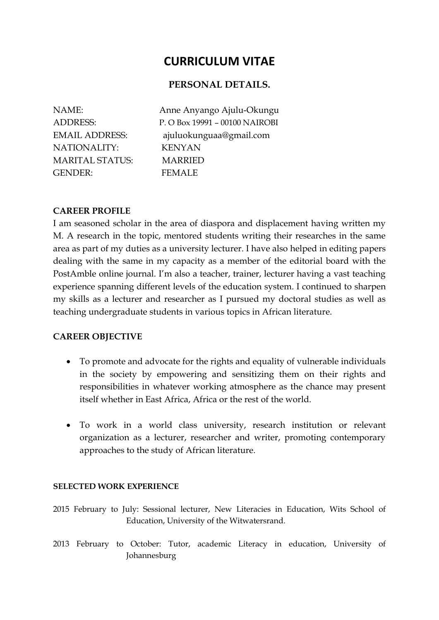# **CURRICULUM VITAE**

# **PERSONAL DETAILS.**

NATIONALITY: KENYAN MARITAL STATUS: MARRIED GENDER: FEMALE

NAME: Anne Anyango Ajulu-Okungu ADDRESS: P. O Box 19991 – 00100 NAIROBI EMAIL ADDRESS: ajuluokunguaa@gmail.com

## **CAREER PROFILE**

I am seasoned scholar in the area of diaspora and displacement having written my M. A research in the topic, mentored students writing their researches in the same area as part of my duties as a university lecturer. I have also helped in editing papers dealing with the same in my capacity as a member of the editorial board with the PostAmble online journal. I'm also a teacher, trainer, lecturer having a vast teaching experience spanning different levels of the education system. I continued to sharpen my skills as a lecturer and researcher as I pursued my doctoral studies as well as teaching undergraduate students in various topics in African literature.

## **CAREER OBJECTIVE**

- To promote and advocate for the rights and equality of vulnerable individuals in the society by empowering and sensitizing them on their rights and responsibilities in whatever working atmosphere as the chance may present itself whether in East Africa, Africa or the rest of the world.
- To work in a world class university, research institution or relevant organization as a lecturer, researcher and writer, promoting contemporary approaches to the study of African literature.

## **SELECTED WORK EXPERIENCE**

2015 February to July: Sessional lecturer, New Literacies in Education, Wits School of Education, University of the Witwatersrand.

2013 February to October: Tutor, academic Literacy in education, University of Johannesburg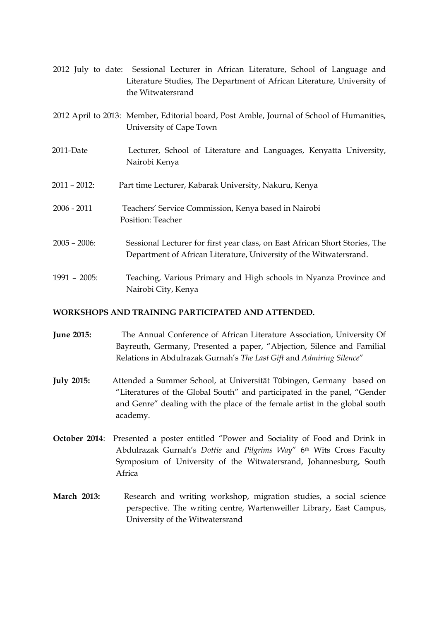|                 | 2012 July to date: Sessional Lecturer in African Literature, School of Language and<br>Literature Studies, The Department of African Literature, University of<br>the Witwatersrand |
|-----------------|-------------------------------------------------------------------------------------------------------------------------------------------------------------------------------------|
|                 | 2012 April to 2013: Member, Editorial board, Post Amble, Journal of School of Humanities,<br>University of Cape Town                                                                |
| 2011-Date       | Lecturer, School of Literature and Languages, Kenyatta University,<br>Nairobi Kenya                                                                                                 |
| $2011 - 2012$ : | Part time Lecturer, Kabarak University, Nakuru, Kenya                                                                                                                               |
| $2006 - 2011$   | Teachers' Service Commission, Kenya based in Nairobi<br>Position: Teacher                                                                                                           |
| $2005 - 2006$ : | Sessional Lecturer for first year class, on East African Short Stories, The<br>Department of African Literature, University of the Witwatersrand.                                   |
| $1991 - 2005$ : | Teaching, Various Primary and High schools in Nyanza Province and<br>Nairobi City, Kenya                                                                                            |

## **WORKSHOPS AND TRAINING PARTICIPATED AND ATTENDED.**

- **June 2015:** The Annual Conference of African Literature Association, University Of Bayreuth, Germany, Presented a paper, "Abjection, Silence and Familial Relations in Abdulrazak Gurnah's *The Last Gift* and *Admiring Silence*"
- **July 2015:** Attended a Summer School, at Universität Tübingen, Germany based on "Literatures of the Global South" and participated in the panel, "Gender and Genre" dealing with the place of the female artist in the global south academy.
- **October 2014**: Presented a poster entitled "Power and Sociality of Food and Drink in Abdulrazak Gurnah's *Dottie* and *Pilgrims Way*" 6th Wits Cross Faculty Symposium of University of the Witwatersrand, Johannesburg, South Africa
- March 2013: Research and writing workshop, migration studies, a social science perspective. The writing centre, Wartenweiller Library, East Campus, University of the Witwatersrand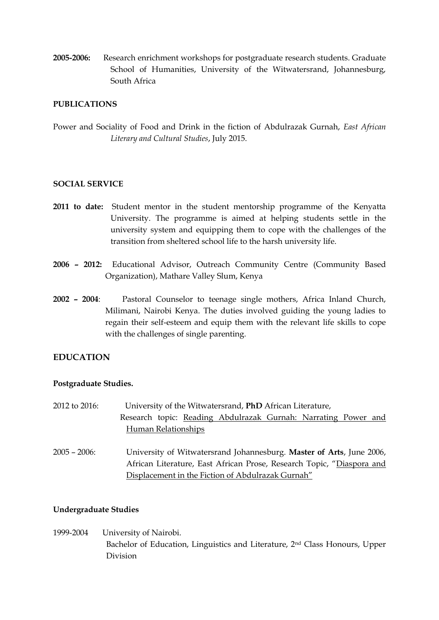**2005-2006:** Research enrichment workshops for postgraduate research students. Graduate School of Humanities, University of the Witwatersrand, Johannesburg, South Africa

## **PUBLICATIONS**

Power and Sociality of Food and Drink in the fiction of Abdulrazak Gurnah, *East African Literary and Cultural Studies*, July 2015.

## **SOCIAL SERVICE**

- **2011 to date:** Student mentor in the student mentorship programme of the Kenyatta University. The programme is aimed at helping students settle in the university system and equipping them to cope with the challenges of the transition from sheltered school life to the harsh university life.
- **2006 – 2012:** Educational Advisor, Outreach Community Centre (Community Based Organization), Mathare Valley Slum, Kenya
- **2002 – 2004**: Pastoral Counselor to teenage single mothers, Africa Inland Church, Milimani, Nairobi Kenya. The duties involved guiding the young ladies to regain their self-esteem and equip them with the relevant life skills to cope with the challenges of single parenting.

## **EDUCATION**

## **Postgraduate Studies.**

| 2012 to 2016:   | University of the Witwatersrand, PhD African Literature,              |
|-----------------|-----------------------------------------------------------------------|
|                 | Research topic: Reading Abdulrazak Gurnah: Narrating Power and        |
|                 | Human Relationships                                                   |
| $2005 - 2006$ : | University of Witwatersrand Johannesburg. Master of Arts, June 2006,  |
|                 | African Literature, East African Prose, Research Topic, "Diaspora and |
|                 | Displacement in the Fiction of Abdulrazak Gurnah"                     |

## **Undergraduate Studies**

1999-2004 University of Nairobi. Bachelor of Education, Linguistics and Literature, 2nd Class Honours, Upper Division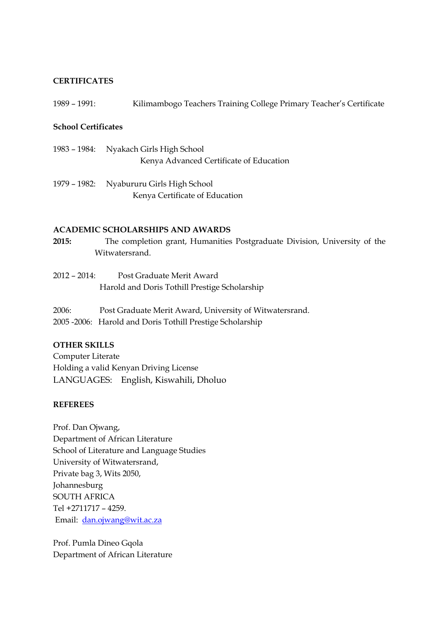## **CERTIFICATES**

1989 – 1991: Kilimambogo Teachers Training College Primary Teacher's Certificate

## **School Certificates**

- 1983 1984: Nyakach Girls High School Kenya Advanced Certificate of Education
- 1979 1982: Nyabururu Girls High School Kenya Certificate of Education

## **ACADEMIC SCHOLARSHIPS AND AWARDS**

- **2015:** The completion grant, Humanities Postgraduate Division, University of the Witwatersrand.
- 2012 2014: Post Graduate Merit Award Harold and Doris Tothill Prestige Scholarship
- 2006: Post Graduate Merit Award, University of Witwatersrand. 2005 -2006: Harold and Doris Tothill Prestige Scholarship

## **OTHER SKILLS**

Computer Literate Holding a valid Kenyan Driving License LANGUAGES: English, Kiswahili, Dholuo

## **REFEREES**

Prof. Dan Ojwang, Department of African Literature School of Literature and Language Studies University of Witwatersrand, Private bag 3, Wits 2050, Johannesburg SOUTH AFRICA Tel +2711717 – 4259. Email: [dan.ojwang@wit.ac.za](mailto:dan.ojwang@wit.ac.za)

Prof. Pumla Dineo Gqola Department of African Literature